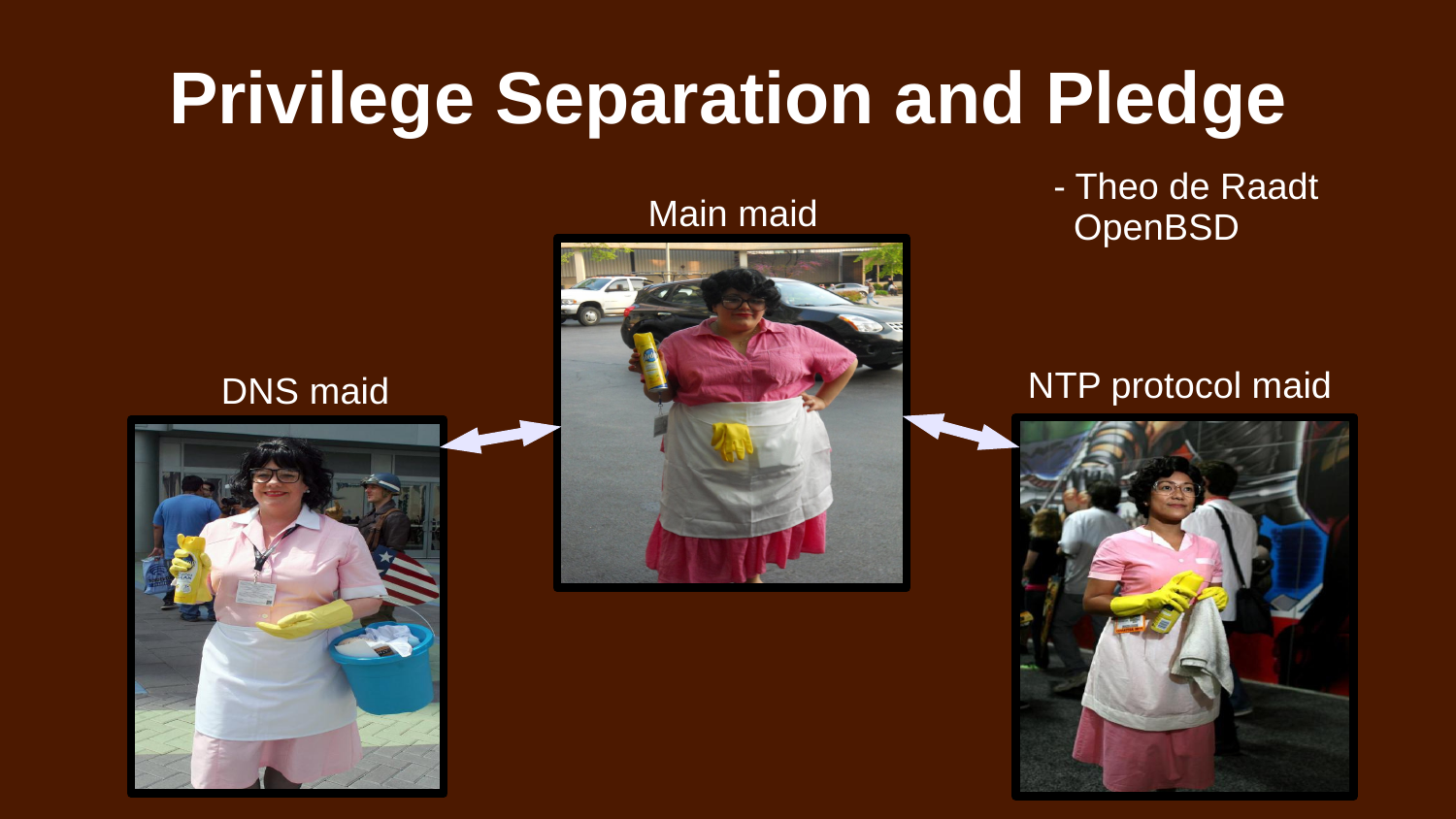# **Privilege Separation and Pledge**

- Theo de Raadt Main maid OpenBSD

### DNS maid NTP protocol maid



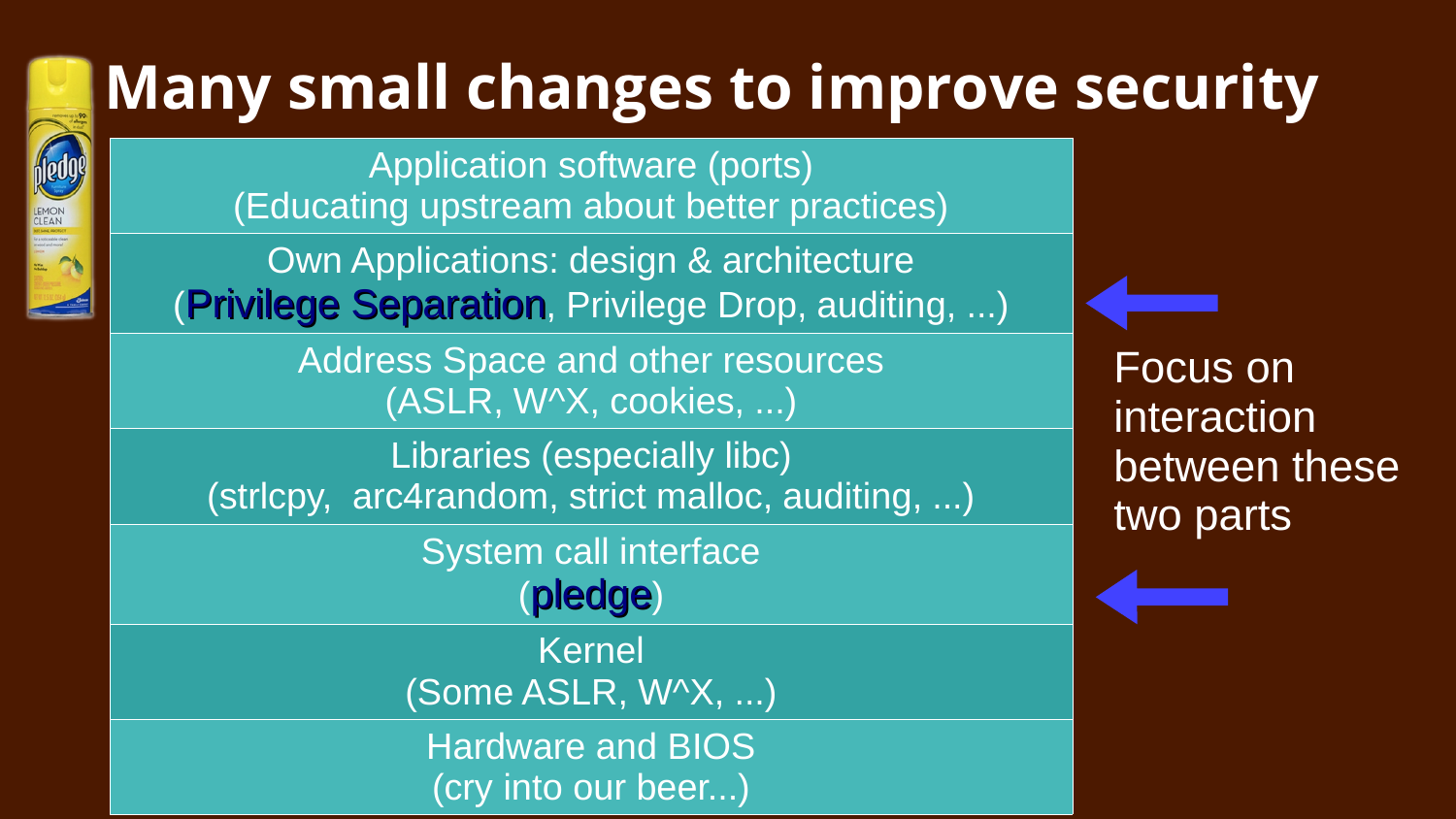# **Many small changes to improve security**

Application software (ports) (Educating upstream about better practices)

LEMON<br>CLEAN

Own Applications: design & architecture (Privilege Separation, Privilege Drop, auditing, ...)

> Address Space and other resources (ASLR, W^X, cookies, ...)

Libraries (especially libc) (strlcpy, arc4random, strict malloc, auditing, ...)

> System call interface (pledge)

Kernel (Some ASLR, W^X, ...)

Hardware and BIOS (cry into our beer...)

Focus on interaction between these two parts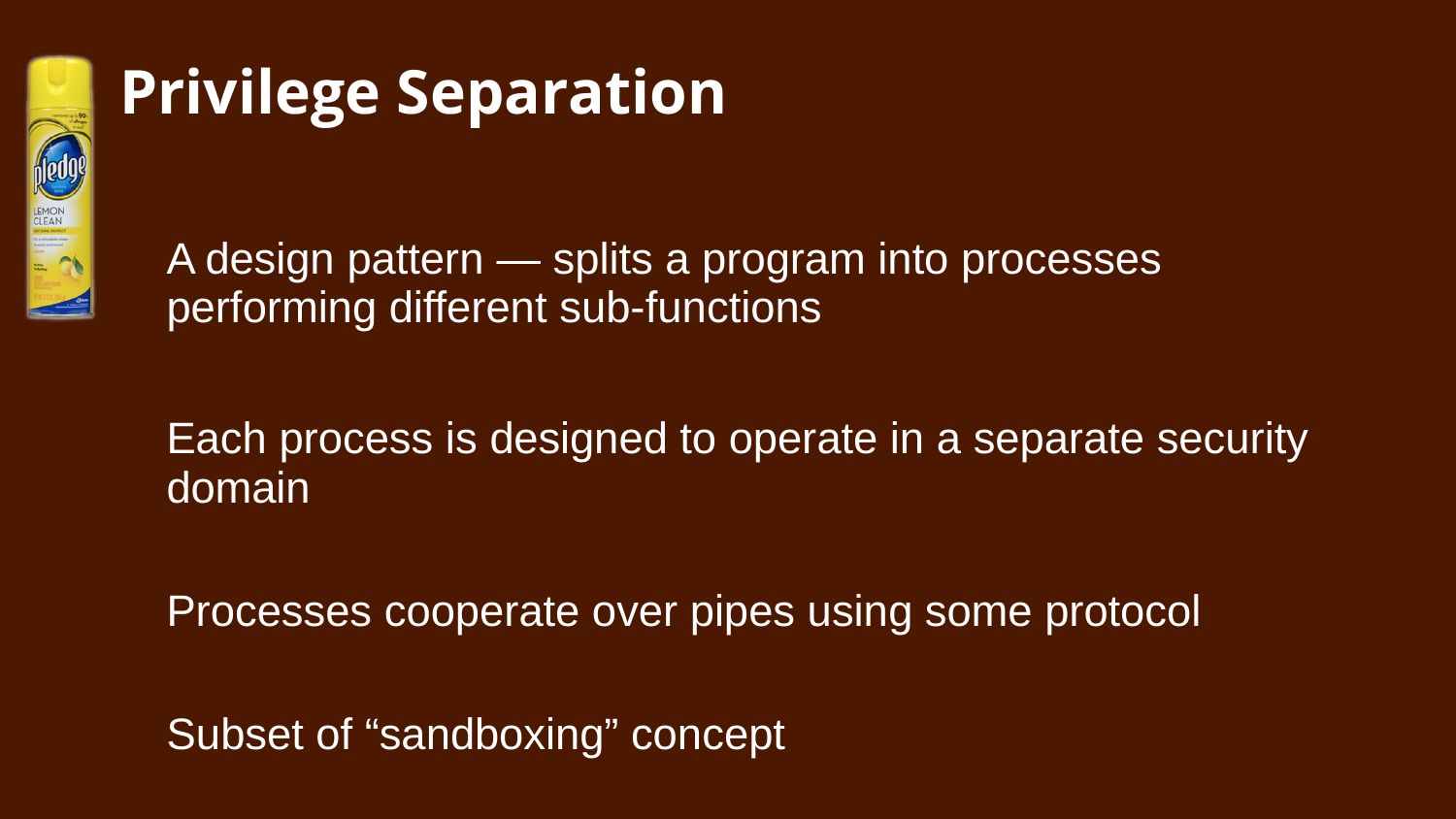

## **Privilege Separation**

A design pattern — splits a program into processes performing different sub-functions

## Each process is designed to operate in a separate security domain

Processes cooperate over pipes using some protocol

Subset of "sandboxing" concept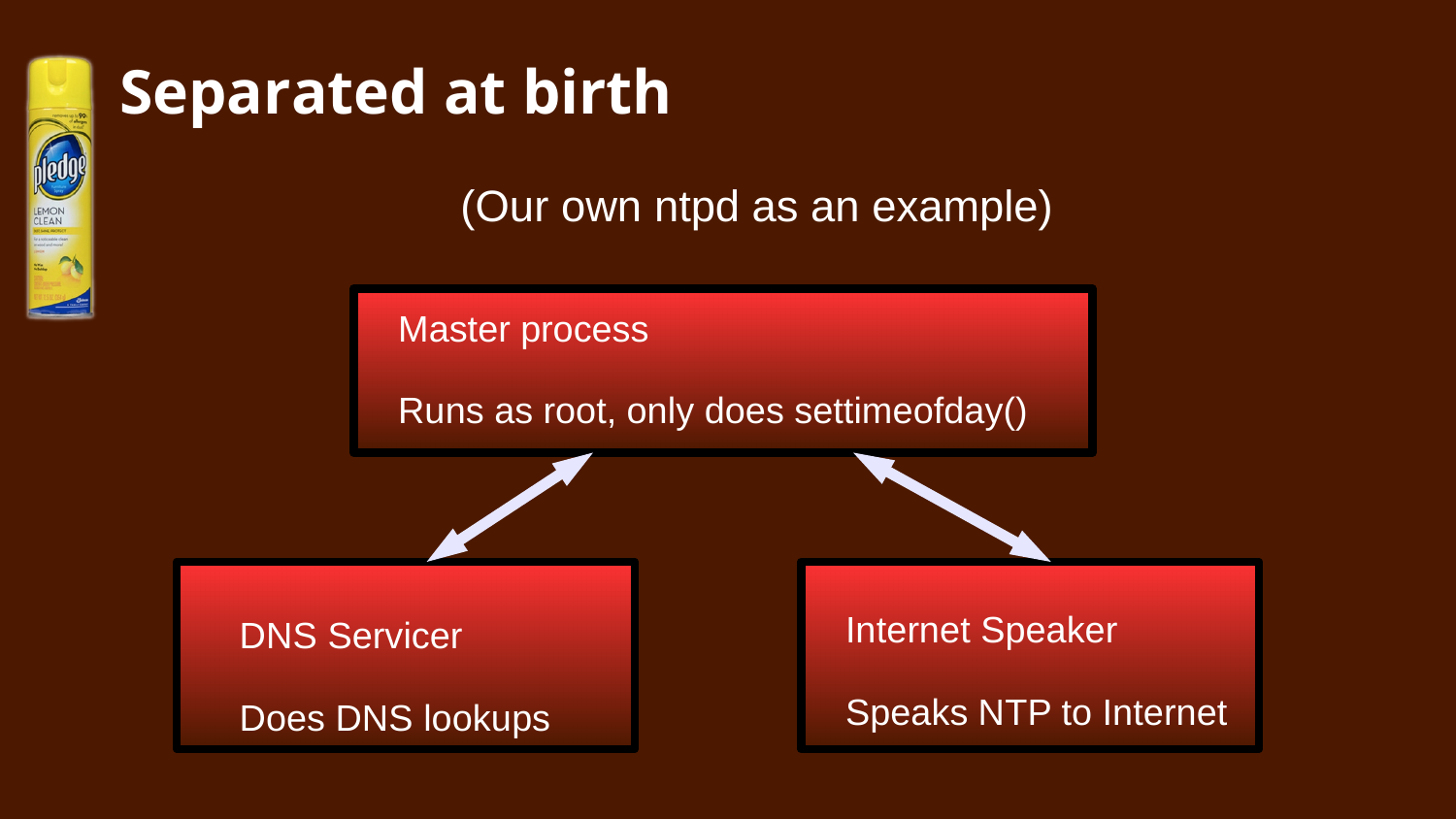

## **Separated at birth**

(Our own ntpd as an example)

Master process

Runs as root, only does settimeofday()

**DNS Servicer** 

Does DNS lookups

Internet Speaker

Speaks NTP to Internet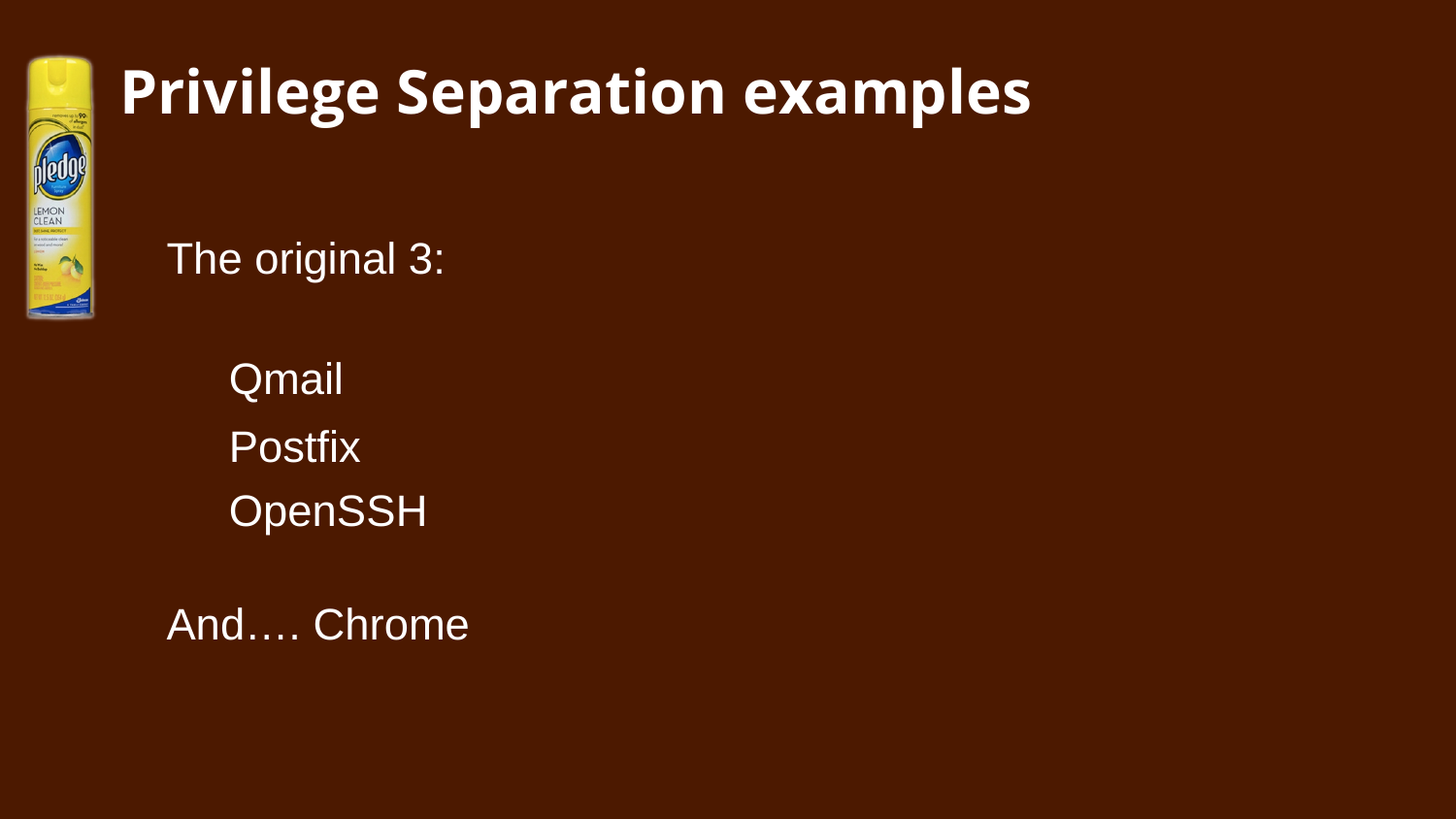

## **Privilege Separation examples**

The original 3:

Qmail **Postfix OpenSSH** 

And…. Chrome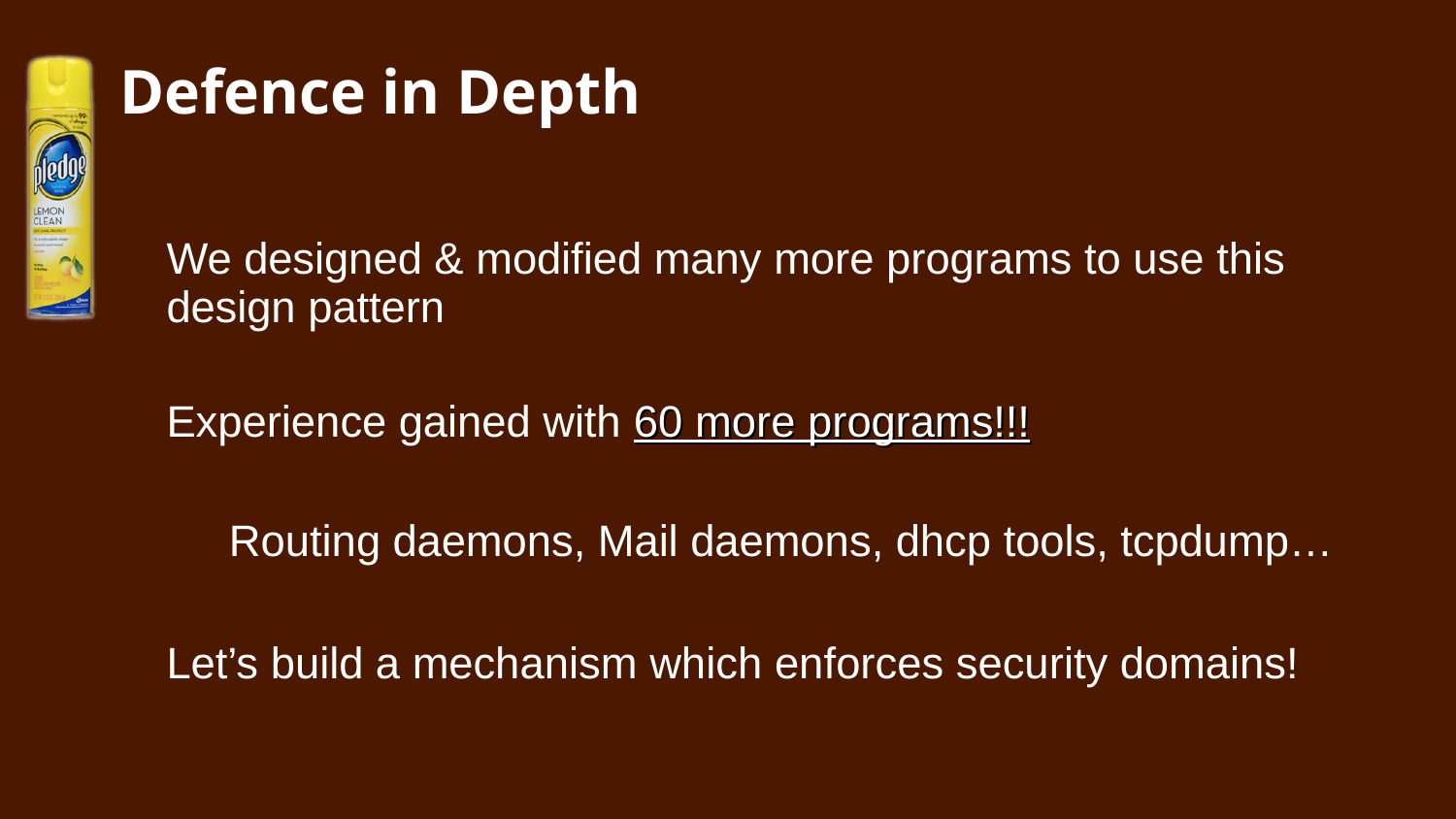

# **Defence in Depth**

We designed & modified many more programs to use this design pattern

Experience gained with 60 more programs!!!

Routing daemons, Mail daemons, dhcp tools, tcpdump…

Let's build a mechanism which enforces security domains!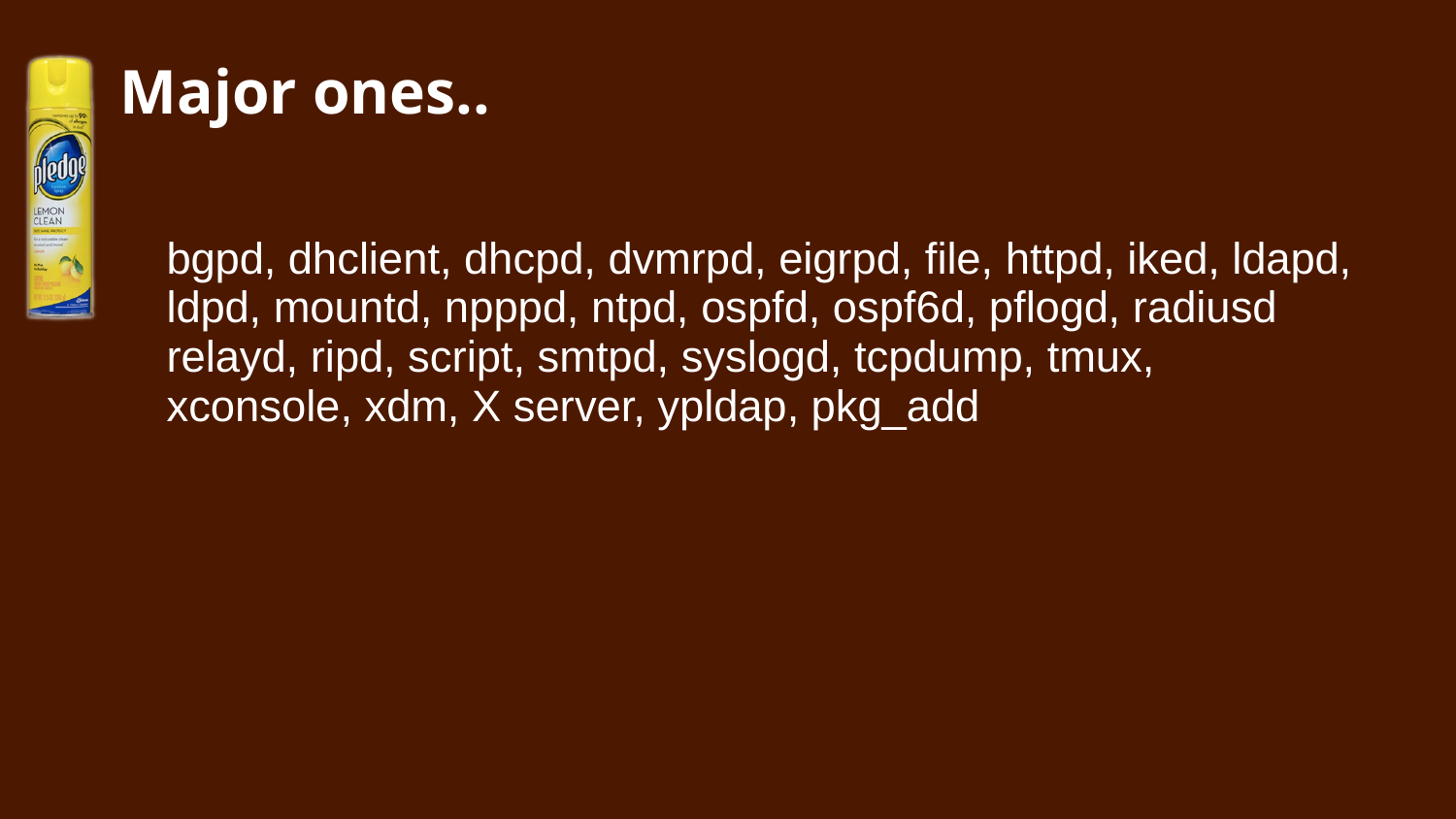

## **Major ones..**

bgpd, dhclient, dhcpd, dvmrpd, eigrpd, file, httpd, iked, ldapd, ldpd, mountd, npppd, ntpd, ospfd, ospf6d, pflogd, radiusd relayd, ripd, script, smtpd, syslogd, tcpdump, tmux, xconsole, xdm, X server, ypldap, pkg\_add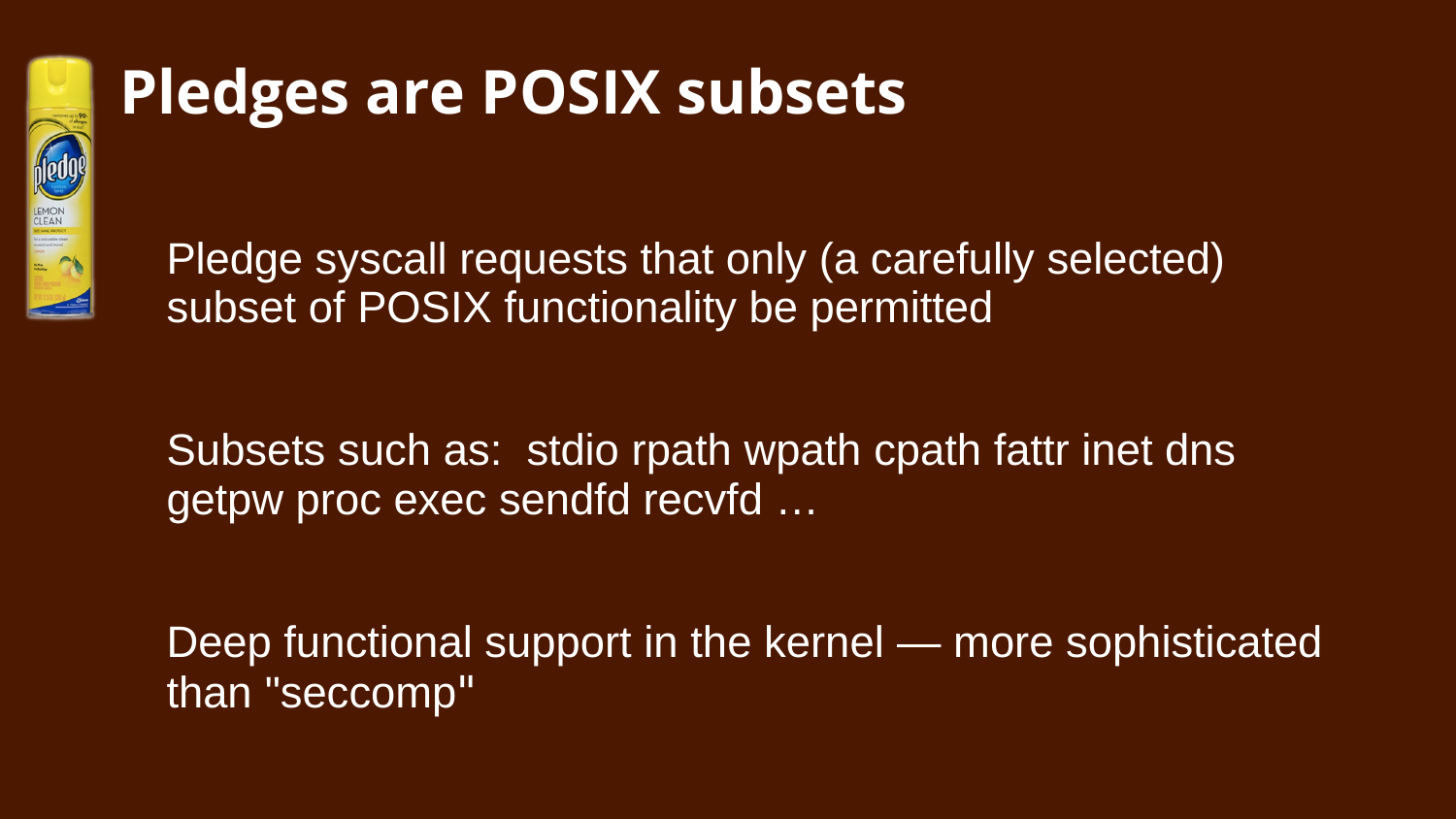

## **Pledges are POSIX subsets**

Pledge syscall requests that only (a carefully selected) subset of POSIX functionality be permitted

Subsets such as: stdio rpath wpath cpath fattr inet dns getpw proc exec sendfd recvfd …

Deep functional support in the kernel — more sophisticated than "seccomp"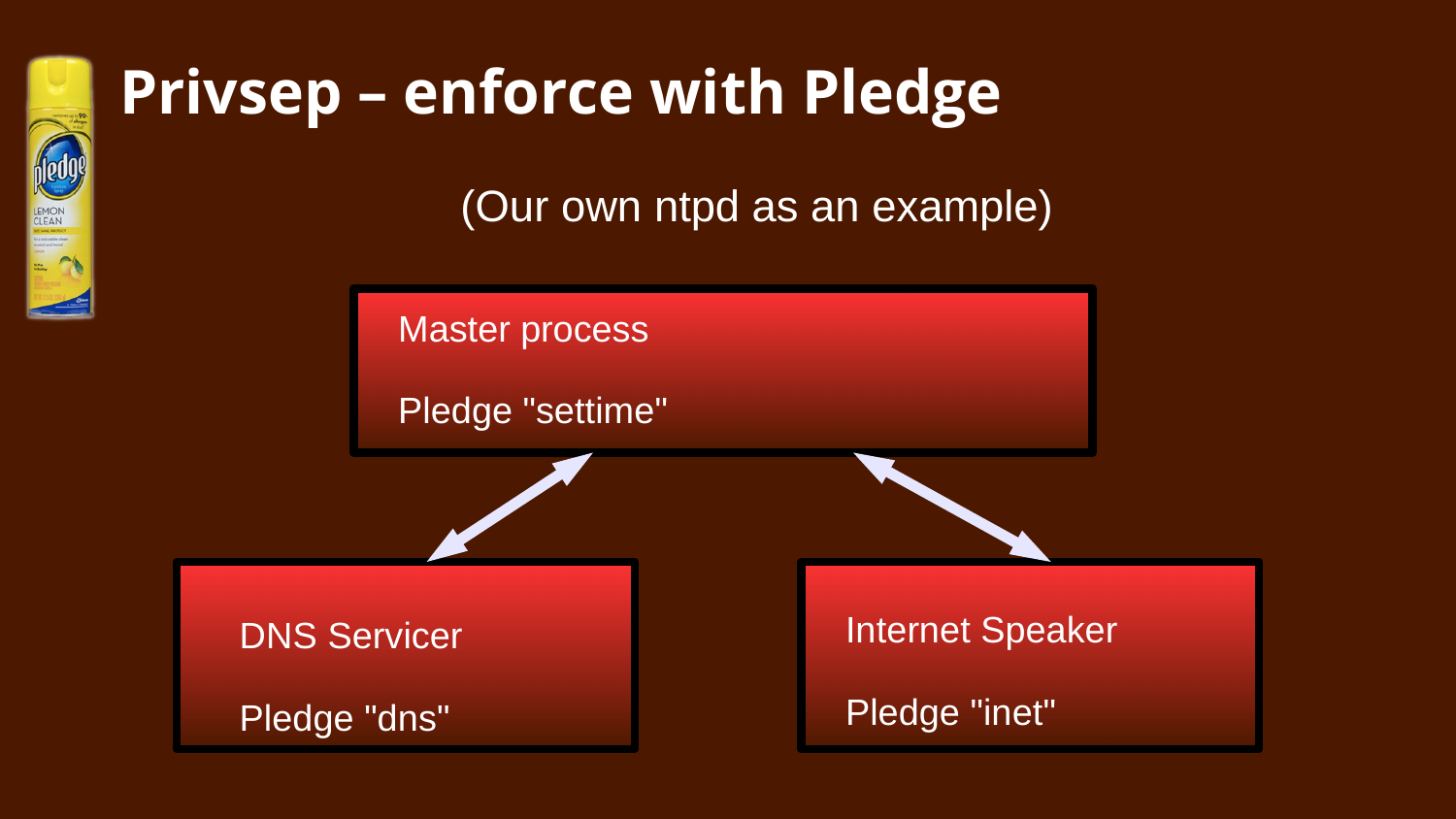

## **Privsep – enforce with Pledge**

(Our own ntpd as an example)

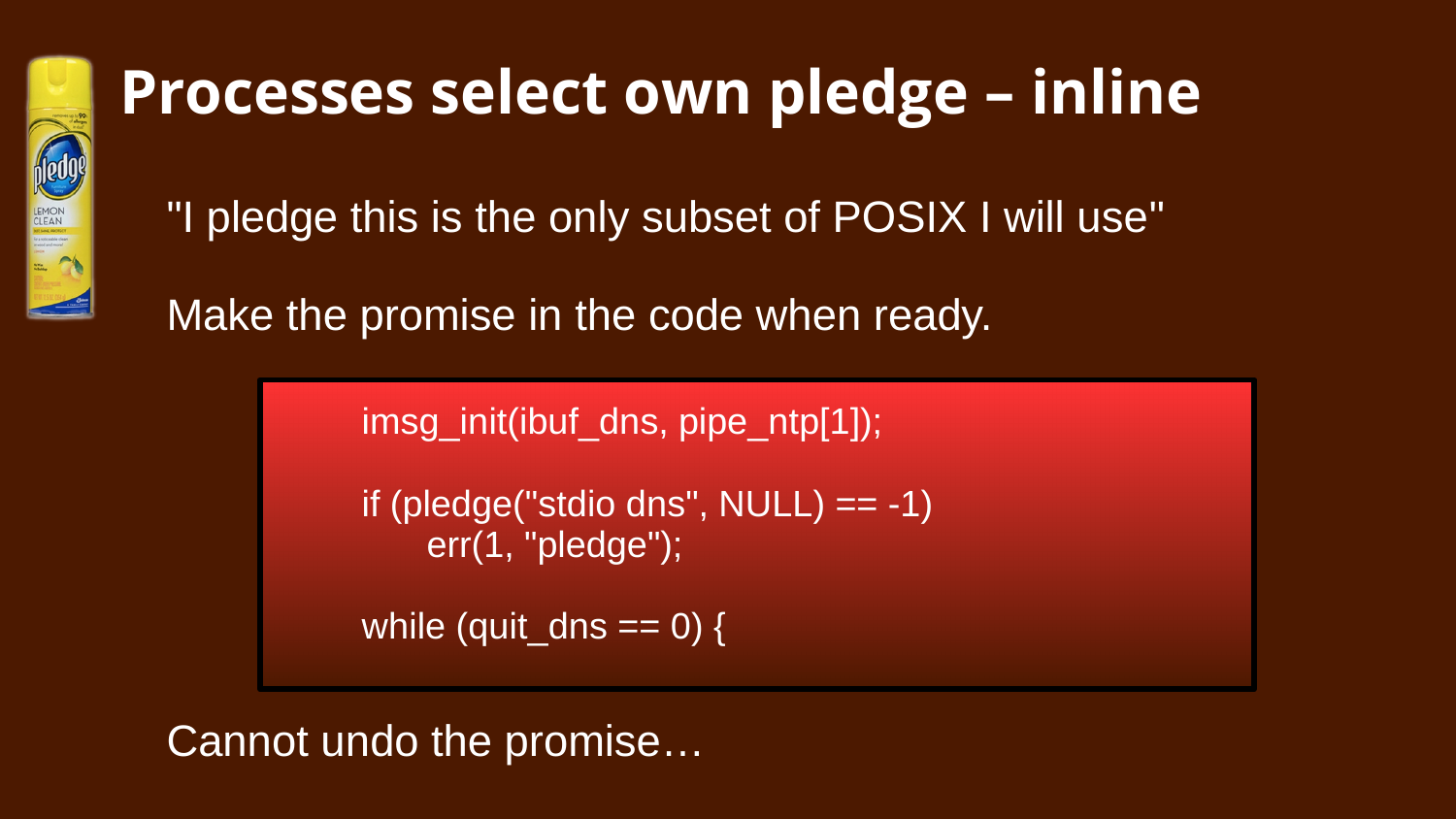

# **Processes select own pledge – inline**

"I pledge this is the only subset of POSIX I will use"

Make the promise in the code when ready.

imsg\_init(ibuf\_dns, pipe\_ntp[1]);

if (pledge("stdio dns",  $NULL$ ) == -1) err(1, "pledge");

while (quit\_dns ==  $0$ ) {

Cannot undo the promise…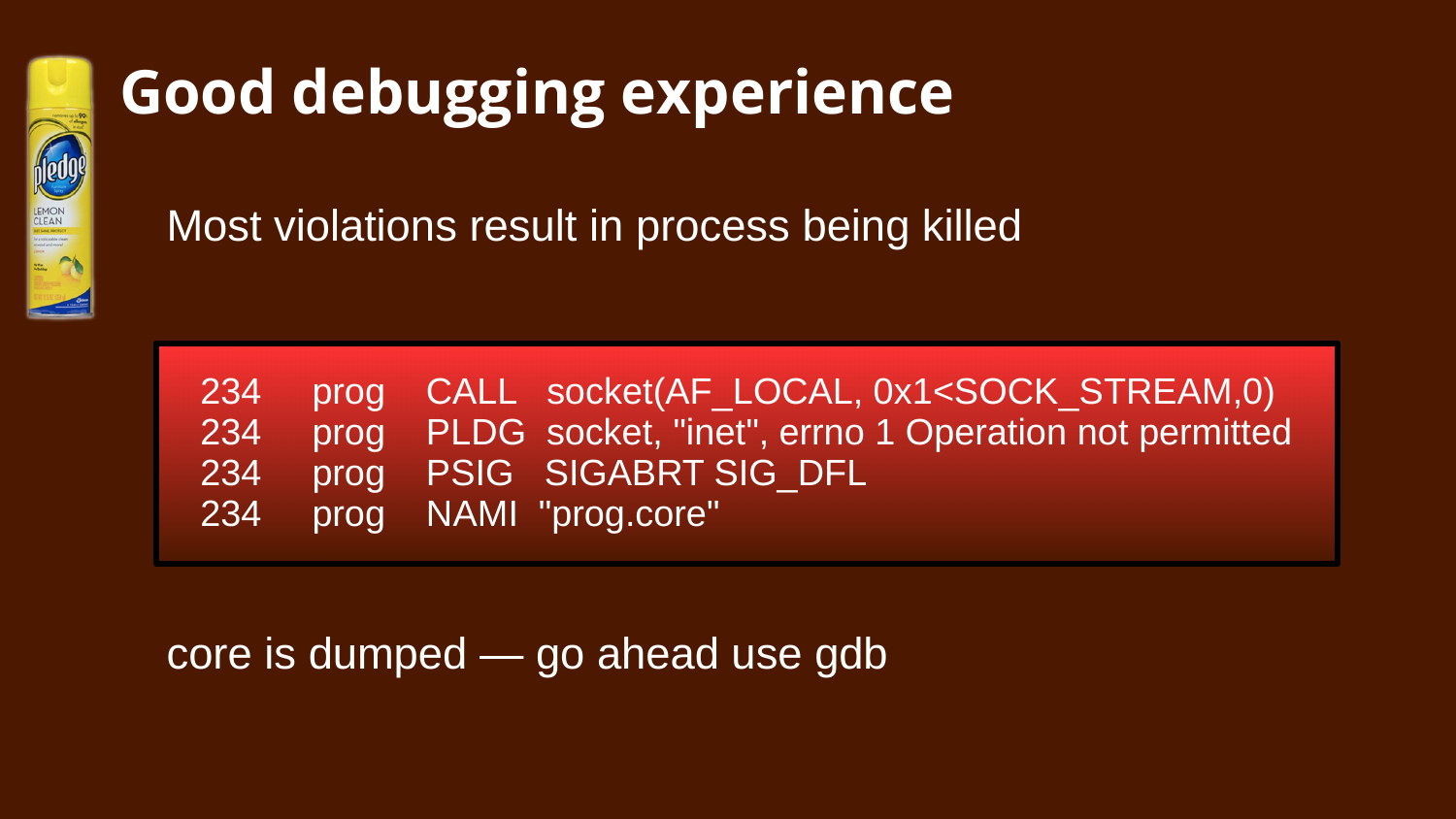

# **Good debugging experience**

Most violations result in process being killed

|  | 234 prog CALL socket(AF LOCAL, 0x1 <sock stream,0)<="" th=""></sock> |
|--|----------------------------------------------------------------------|
|  | 234 prog PLDG socket, "inet", errno 1 Operation not permitted        |
|  | 234 prog PSIG SIGABRT_SIG_DFL                                        |
|  | 234 prog NAMI "prog.core"                                            |

## core is dumped — go ahead use gdb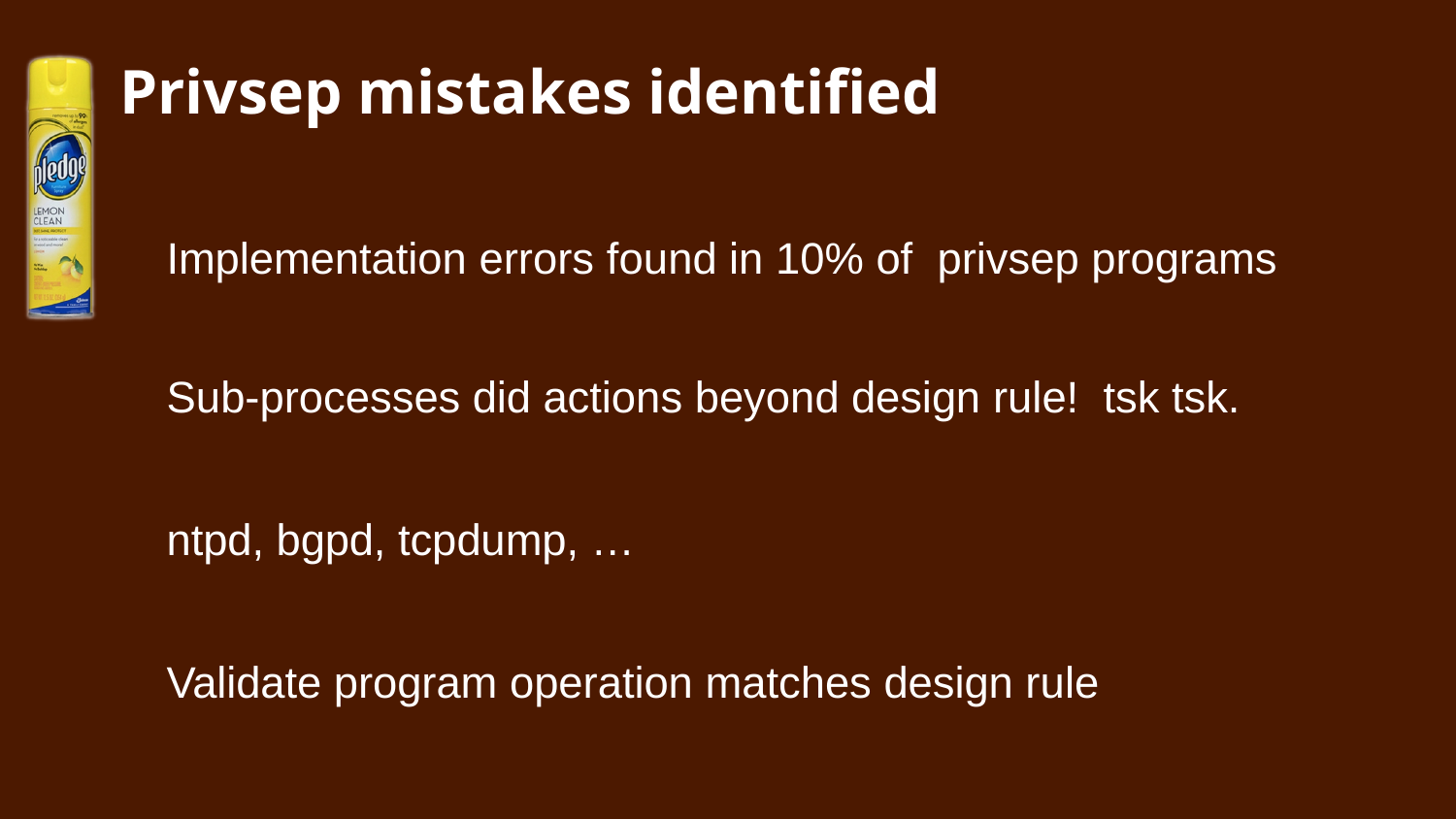

## **Privsep mistakes identified**

Implementation errors found in 10% of privsep programs

Sub-processes did actions beyond design rule! tsk tsk.

ntpd, bgpd, tcpdump, …

Validate program operation matches design rule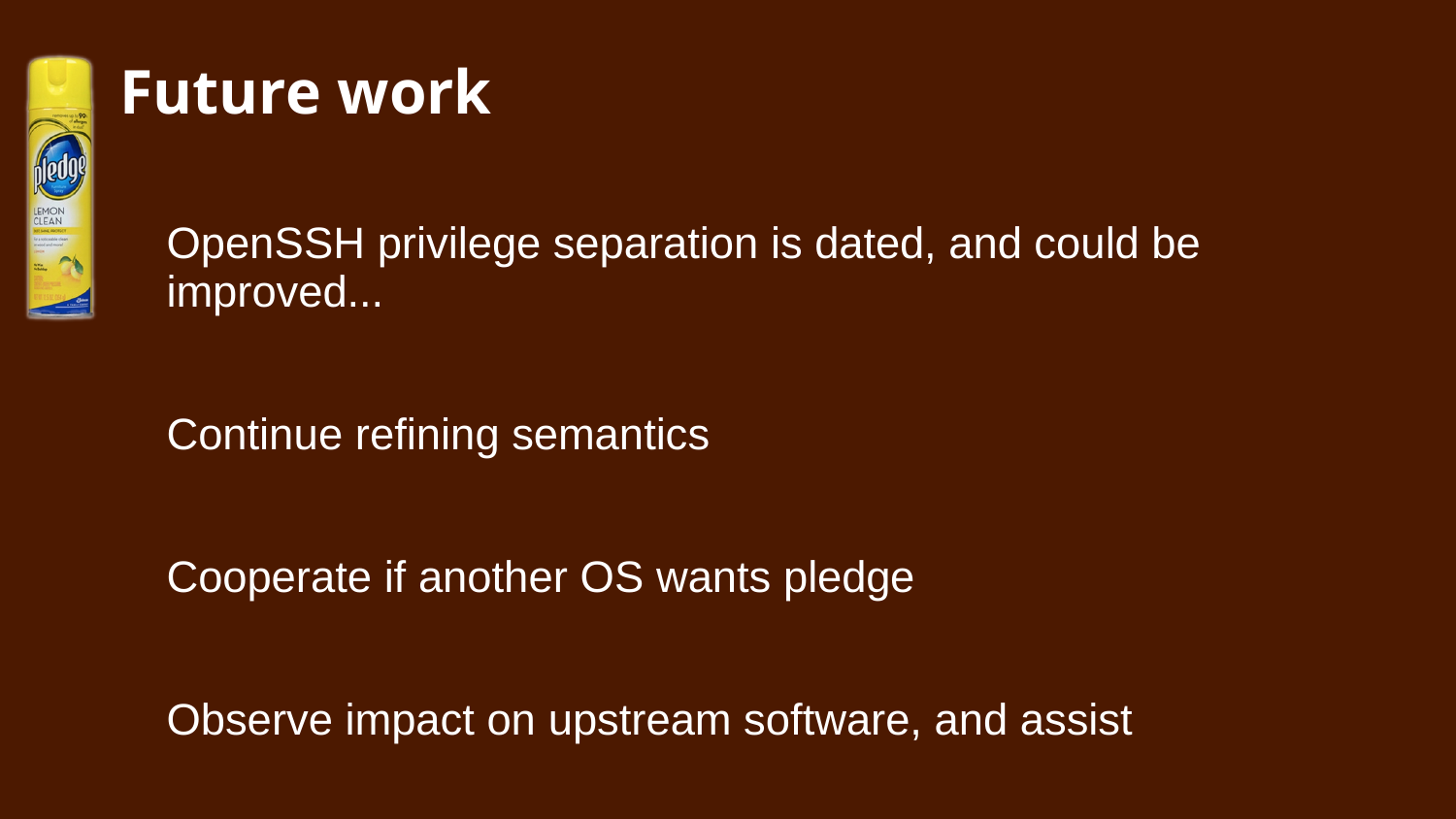

## **Future work**

OpenSSH privilege separation is dated, and could be improved...

Continue refining semantics

Cooperate if another OS wants pledge

Observe impact on upstream software, and assist